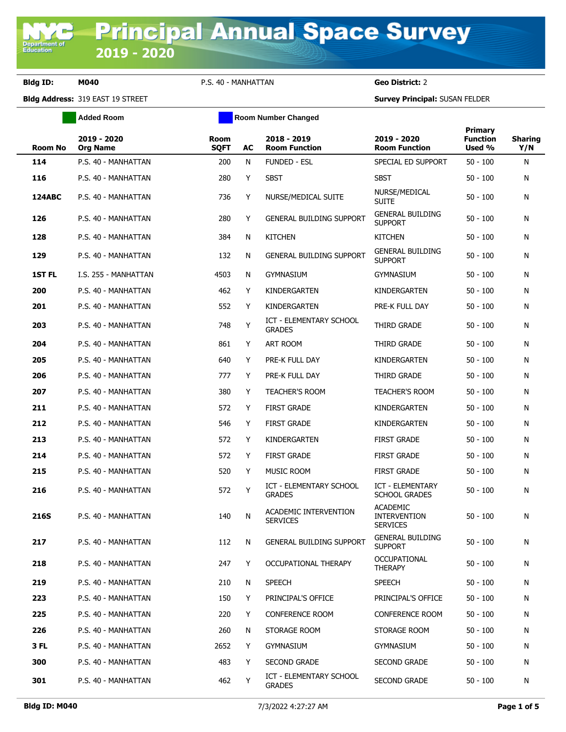**Department of**<br>Education

**Bldg ID: M040** P.S. 40 - MANHATTAN **Geo District:** 2

**Bldg Address:** 319 EAST 19 STREET **Survey Principal:** SUSAN FELDER

|                | <b>Added Room</b>              | <b>Room Number Changed</b> |    |                                                 |                                                           |                                      |                       |
|----------------|--------------------------------|----------------------------|----|-------------------------------------------------|-----------------------------------------------------------|--------------------------------------|-----------------------|
| <b>Room No</b> | 2019 - 2020<br><b>Org Name</b> | <b>Room</b><br><b>SQFT</b> | AC | 2018 - 2019<br><b>Room Function</b>             | 2019 - 2020<br><b>Room Function</b>                       | Primary<br><b>Function</b><br>Used % | <b>Sharing</b><br>Y/N |
| 114            | P.S. 40 - MANHATTAN            | 200                        | N  | <b>FUNDED - ESL</b>                             | SPECIAL ED SUPPORT                                        | $50 - 100$                           | N                     |
| 116            | P.S. 40 - MANHATTAN            | 280                        | Y  | <b>SBST</b>                                     | <b>SBST</b>                                               | $50 - 100$                           | N                     |
| <b>124ABC</b>  | P.S. 40 - MANHATTAN            | 736                        | Y  | NURSE/MEDICAL SUITE                             | NURSE/MEDICAL<br><b>SUITE</b>                             | $50 - 100$                           | N                     |
| 126            | P.S. 40 - MANHATTAN            | 280                        | Y  | <b>GENERAL BUILDING SUPPORT</b>                 | <b>GENERAL BUILDING</b><br><b>SUPPORT</b>                 | $50 - 100$                           | N                     |
| 128            | P.S. 40 - MANHATTAN            | 384                        | N  | <b>KITCHEN</b>                                  | <b>KITCHEN</b>                                            | $50 - 100$                           | N                     |
| 129            | P.S. 40 - MANHATTAN            | 132                        | N  | <b>GENERAL BUILDING SUPPORT</b>                 | <b>GENERAL BUILDING</b><br><b>SUPPORT</b>                 | $50 - 100$                           | N                     |
| <b>1ST FL</b>  | I.S. 255 - MANHATTAN           | 4503                       | N  | <b>GYMNASIUM</b>                                | <b>GYMNASIUM</b>                                          | $50 - 100$                           | N                     |
| 200            | P.S. 40 - MANHATTAN            | 462                        | Y  | KINDERGARTEN                                    | KINDERGARTEN                                              | $50 - 100$                           | N                     |
| 201            | P.S. 40 - MANHATTAN            | 552                        | Y  | KINDERGARTEN                                    | PRE-K FULL DAY                                            | $50 - 100$                           | N                     |
| 203            | P.S. 40 - MANHATTAN            | 748                        | Y  | <b>ICT - ELEMENTARY SCHOOL</b><br><b>GRADES</b> | THIRD GRADE                                               | $50 - 100$                           | N                     |
| 204            | P.S. 40 - MANHATTAN            | 861                        | Y  | ART ROOM                                        | THIRD GRADE                                               | $50 - 100$                           | N                     |
| 205            | P.S. 40 - MANHATTAN            | 640                        | Y  | PRE-K FULL DAY                                  | KINDERGARTEN                                              | $50 - 100$                           | N                     |
| 206            | P.S. 40 - MANHATTAN            | 777                        | Y  | PRE-K FULL DAY                                  | THIRD GRADE                                               | $50 - 100$                           | N                     |
| 207            | P.S. 40 - MANHATTAN            | 380                        | Y  | <b>TEACHER'S ROOM</b>                           | <b>TEACHER'S ROOM</b>                                     | $50 - 100$                           | N                     |
| 211            | P.S. 40 - MANHATTAN            | 572                        | Y  | <b>FIRST GRADE</b>                              | KINDERGARTEN                                              | $50 - 100$                           | N                     |
| 212            | P.S. 40 - MANHATTAN            | 546                        | Y  | <b>FIRST GRADE</b>                              | KINDERGARTEN                                              | $50 - 100$                           | N                     |
| 213            | P.S. 40 - MANHATTAN            | 572                        | Y  | KINDERGARTEN                                    | <b>FIRST GRADE</b>                                        | $50 - 100$                           | N                     |
| 214            | P.S. 40 - MANHATTAN            | 572                        | Y  | <b>FIRST GRADE</b>                              | <b>FIRST GRADE</b>                                        | $50 - 100$                           | N                     |
| 215            | P.S. 40 - MANHATTAN            | 520                        | Y  | MUSIC ROOM                                      | <b>FIRST GRADE</b>                                        | $50 - 100$                           | N                     |
| 216            | P.S. 40 - MANHATTAN            | 572                        | Y  | <b>ICT - ELEMENTARY SCHOOL</b><br><b>GRADES</b> | <b>ICT - ELEMENTARY</b><br><b>SCHOOL GRADES</b>           | $50 - 100$                           | N                     |
| <b>216S</b>    | P.S. 40 - MANHATTAN            | 140                        | N  | ACADEMIC INTERVENTION<br><b>SERVICES</b>        | <b>ACADEMIC</b><br><b>INTERVENTION</b><br><b>SERVICES</b> | $50 - 100$                           | N                     |
| 217            | P.S. 40 - MANHATTAN            | 112                        | N  | <b>GENERAL BUILDING SUPPORT</b>                 | <b>GENERAL BUILDING</b><br><b>SUPPORT</b>                 | $50 - 100$                           | Ν                     |
| 218            | P.S. 40 - MANHATTAN            | 247                        | Y  | OCCUPATIONAL THERAPY                            | <b>OCCUPATIONAL</b><br>THERAPY                            | $50 - 100$                           | N                     |
| 219            | P.S. 40 - MANHATTAN            | 210                        | N  | <b>SPEECH</b>                                   | <b>SPEECH</b>                                             | $50 - 100$                           | N                     |
| 223            | P.S. 40 - MANHATTAN            | 150                        | Y  | PRINCIPAL'S OFFICE                              | PRINCIPAL'S OFFICE                                        | $50 - 100$                           | N                     |
| 225            | P.S. 40 - MANHATTAN            | 220                        | Y  | <b>CONFERENCE ROOM</b>                          | <b>CONFERENCE ROOM</b>                                    | $50 - 100$                           | N                     |
| 226            | P.S. 40 - MANHATTAN            | 260                        | N  | STORAGE ROOM                                    | STORAGE ROOM                                              | $50 - 100$                           | N                     |
| 3 FL           | P.S. 40 - MANHATTAN            | 2652                       | Y  | GYMNASIUM                                       | gymnasium                                                 | 50 - 100                             | N                     |
| 300            | P.S. 40 - MANHATTAN            | 483                        | Y  | <b>SECOND GRADE</b>                             | <b>SECOND GRADE</b>                                       | 50 - 100                             | N                     |
| 301            | P.S. 40 - MANHATTAN            | 462                        | Y  | ICT - ELEMENTARY SCHOOL<br><b>GRADES</b>        | <b>SECOND GRADE</b>                                       | 50 - 100                             | Ν                     |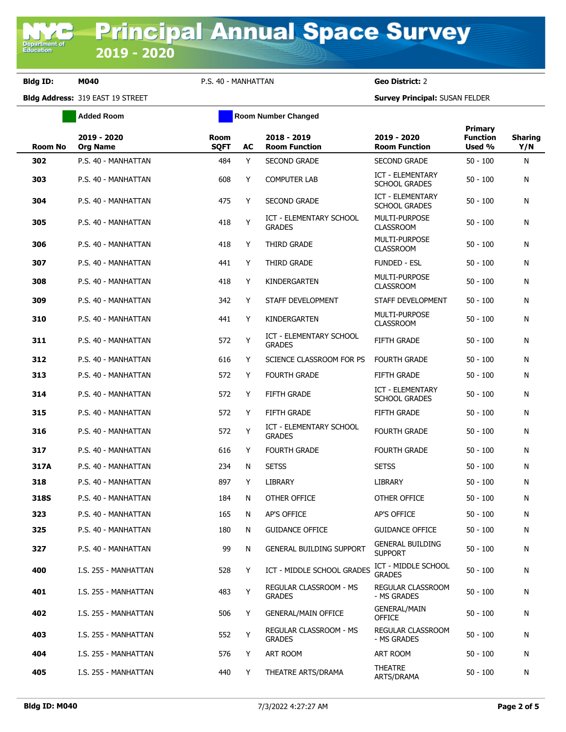**Bldg ID: M040** P.S. 40 - MANHATTAN **Geo District:** 2

**Bldg Address:** 319 EAST 19 STREET **Survey Principal:** SUSAN FELDER

|                | <b>Added Room</b>              | <b>Room Number Changed</b> |    |                                                 |                                                 |                                             |                       |
|----------------|--------------------------------|----------------------------|----|-------------------------------------------------|-------------------------------------------------|---------------------------------------------|-----------------------|
| <b>Room No</b> | 2019 - 2020<br><b>Org Name</b> | <b>Room</b><br><b>SQFT</b> | AC | 2018 - 2019<br><b>Room Function</b>             | 2019 - 2020<br><b>Room Function</b>             | <b>Primary</b><br><b>Function</b><br>Used % | <b>Sharing</b><br>Y/N |
| 302            | P.S. 40 - MANHATTAN            | 484                        | Y  | <b>SECOND GRADE</b>                             | <b>SECOND GRADE</b>                             | $50 - 100$                                  | N                     |
| 303            | P.S. 40 - MANHATTAN            | 608                        | Y  | <b>COMPUTER LAB</b>                             | <b>ICT - ELEMENTARY</b><br><b>SCHOOL GRADES</b> | $50 - 100$                                  | N                     |
| 304            | P.S. 40 - MANHATTAN            | 475                        | Y  | <b>SECOND GRADE</b>                             | <b>ICT - ELEMENTARY</b><br><b>SCHOOL GRADES</b> | $50 - 100$                                  | N                     |
| 305            | P.S. 40 - MANHATTAN            | 418                        | Υ  | <b>ICT - ELEMENTARY SCHOOL</b><br><b>GRADES</b> | MULTI-PURPOSE<br><b>CLASSROOM</b>               | $50 - 100$                                  | N                     |
| 306            | P.S. 40 - MANHATTAN            | 418                        | Y  | <b>THIRD GRADE</b>                              | MULTI-PURPOSE<br><b>CLASSROOM</b>               | $50 - 100$                                  | N                     |
| 307            | P.S. 40 - MANHATTAN            | 441                        | Y  | THIRD GRADE                                     | <b>FUNDED - ESL</b>                             | $50 - 100$                                  | N                     |
| 308            | P.S. 40 - MANHATTAN            | 418                        | Y  | KINDERGARTEN                                    | <b>MULTI-PURPOSE</b><br><b>CLASSROOM</b>        | $50 - 100$                                  | N                     |
| 309            | P.S. 40 - MANHATTAN            | 342                        | Y  | STAFF DEVELOPMENT                               | STAFF DEVELOPMENT                               | $50 - 100$                                  | N                     |
| 310            | P.S. 40 - MANHATTAN            | 441                        | Y  | KINDERGARTEN                                    | <b>MULTI-PURPOSE</b><br><b>CLASSROOM</b>        | $50 - 100$                                  | N                     |
| 311            | P.S. 40 - MANHATTAN            | 572                        | Y  | ICT - ELEMENTARY SCHOOL<br><b>GRADES</b>        | FIFTH GRADE                                     | $50 - 100$                                  | N                     |
| 312            | P.S. 40 - MANHATTAN            | 616                        | Y  | SCIENCE CLASSROOM FOR PS                        | <b>FOURTH GRADE</b>                             | $50 - 100$                                  | N                     |
| 313            | P.S. 40 - MANHATTAN            | 572                        | Y  | <b>FOURTH GRADE</b>                             | FIFTH GRADE                                     | $50 - 100$                                  | N                     |
| 314            | P.S. 40 - MANHATTAN            | 572                        | Y  | FIFTH GRADE                                     | <b>ICT - ELEMENTARY</b><br><b>SCHOOL GRADES</b> | $50 - 100$                                  | N                     |
| 315            | P.S. 40 - MANHATTAN            | 572                        | Y  | FIFTH GRADE                                     | FIFTH GRADE                                     | $50 - 100$                                  | N                     |
| 316            | P.S. 40 - MANHATTAN            | 572                        | Y  | <b>ICT - ELEMENTARY SCHOOL</b><br><b>GRADES</b> | <b>FOURTH GRADE</b>                             | $50 - 100$                                  | N                     |
| 317            | P.S. 40 - MANHATTAN            | 616                        | Y  | <b>FOURTH GRADE</b>                             | <b>FOURTH GRADE</b>                             | $50 - 100$                                  | N                     |
| 317A           | P.S. 40 - MANHATTAN            | 234                        | N  | <b>SETSS</b>                                    | <b>SETSS</b>                                    | $50 - 100$                                  | N                     |
| 318            | P.S. 40 - MANHATTAN            | 897                        | Y  | <b>LIBRARY</b>                                  | <b>LIBRARY</b>                                  | $50 - 100$                                  | N                     |
| 318S           | P.S. 40 - MANHATTAN            | 184                        | N  | OTHER OFFICE                                    | OTHER OFFICE                                    | $50 - 100$                                  | N                     |
| 323            | P.S. 40 - MANHATTAN            | 165                        | N  | <b>AP'S OFFICE</b>                              | AP'S OFFICE                                     | $50 - 100$                                  | N                     |
| 325            | P.S. 40 - MANHATTAN            | 180                        | N  | <b>GUIDANCE OFFICE</b>                          | <b>GUIDANCE OFFICE</b>                          | $50 - 100$                                  | N                     |
| 327            | P.S. 40 - MANHATTAN            | 99                         | N  | <b>GENERAL BUILDING SUPPORT</b>                 | <b>GENERAL BUILDING</b><br><b>SUPPORT</b>       | $50 - 100$                                  | N                     |
| 400            | I.S. 255 - MANHATTAN           | 528                        | Y  | ICT - MIDDLE SCHOOL GRADES                      | ICT - MIDDLE SCHOOL<br><b>GRADES</b>            | $50 - 100$                                  | N                     |
| 401            | I.S. 255 - MANHATTAN           | 483                        | Y  | REGULAR CLASSROOM - MS<br><b>GRADES</b>         | REGULAR CLASSROOM<br>- MS GRADES                | $50 - 100$                                  | N                     |
| 402            | I.S. 255 - MANHATTAN           | 506                        | Y  | <b>GENERAL/MAIN OFFICE</b>                      | <b>GENERAL/MAIN</b><br><b>OFFICE</b>            | $50 - 100$                                  | N                     |
| 403            | I.S. 255 - MANHATTAN           | 552                        | Y  | REGULAR CLASSROOM - MS<br><b>GRADES</b>         | REGULAR CLASSROOM<br>- MS GRADES                | $50 - 100$                                  | N                     |
| 404            | I.S. 255 - MANHATTAN           | 576                        | Y. | ART ROOM                                        | ART ROOM                                        | $50 - 100$                                  | N                     |
| 405            | I.S. 255 - MANHATTAN           | 440                        | Y  | THEATRE ARTS/DRAMA                              | <b>THEATRE</b><br>ARTS/DRAMA                    | $50 - 100$                                  | N                     |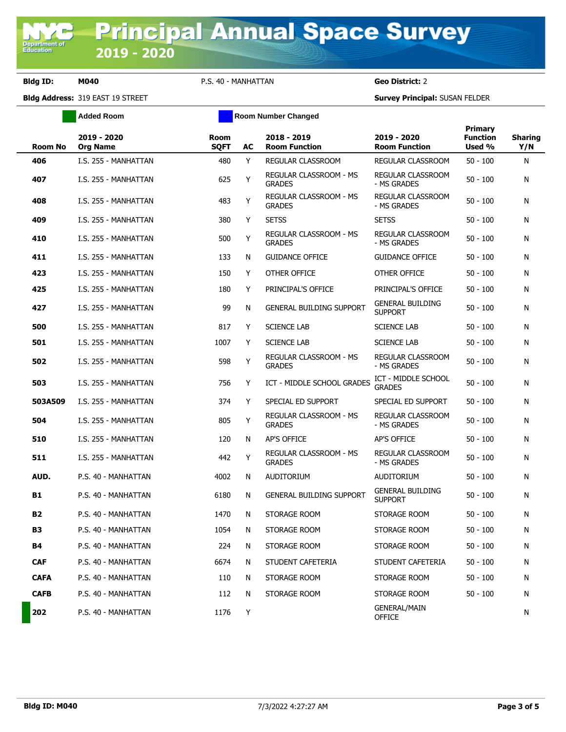**Bldg ID: M040** P.S. 40 - MANHATTAN **Geo District:** 2

**Bldg Address:** 319 EAST 19 STREET **Survey Principal:** SUSAN FELDER

|             | <b>Added Room</b>              | <b>Room Number Changed</b> |    |                                                |                                           |                                             |                       |
|-------------|--------------------------------|----------------------------|----|------------------------------------------------|-------------------------------------------|---------------------------------------------|-----------------------|
| Room No     | 2019 - 2020<br><b>Org Name</b> | <b>Room</b><br><b>SQFT</b> | AC | 2018 - 2019<br><b>Room Function</b>            | 2019 - 2020<br><b>Room Function</b>       | <b>Primary</b><br><b>Function</b><br>Used % | <b>Sharing</b><br>Y/N |
| 406         | I.S. 255 - MANHATTAN           | 480                        | Y  | REGULAR CLASSROOM                              | REGULAR CLASSROOM                         | $50 - 100$                                  | N                     |
| 407         | I.S. 255 - MANHATTAN           | 625                        | Y  | REGULAR CLASSROOM - MS<br><b>GRADES</b>        | <b>REGULAR CLASSROOM</b><br>- MS GRADES   | $50 - 100$                                  | N                     |
| 408         | I.S. 255 - MANHATTAN           | 483                        | Y  | <b>REGULAR CLASSROOM - MS</b><br><b>GRADES</b> | <b>REGULAR CLASSROOM</b><br>- MS GRADES   | $50 - 100$                                  | Ν                     |
| 409         | I.S. 255 - MANHATTAN           | 380                        | Y  | <b>SETSS</b>                                   | <b>SETSS</b>                              | $50 - 100$                                  | N                     |
| 410         | I.S. 255 - MANHATTAN           | 500                        | Y  | REGULAR CLASSROOM - MS<br><b>GRADES</b>        | REGULAR CLASSROOM<br>- MS GRADES          | $50 - 100$                                  | N                     |
| 411         | I.S. 255 - MANHATTAN           | 133                        | N  | <b>GUIDANCE OFFICE</b>                         | <b>GUIDANCE OFFICE</b>                    | $50 - 100$                                  | Ν                     |
| 423         | I.S. 255 - MANHATTAN           | 150                        | Y  | OTHER OFFICE                                   | OTHER OFFICE                              | $50 - 100$                                  | N                     |
| 425         | I.S. 255 - MANHATTAN           | 180                        | Y  | PRINCIPAL'S OFFICE                             | PRINCIPAL'S OFFICE                        | $50 - 100$                                  | N                     |
| 427         | I.S. 255 - MANHATTAN           | 99                         | N  | <b>GENERAL BUILDING SUPPORT</b>                | <b>GENERAL BUILDING</b><br><b>SUPPORT</b> | $50 - 100$                                  | N                     |
| 500         | I.S. 255 - MANHATTAN           | 817                        | Y  | <b>SCIENCE LAB</b>                             | <b>SCIENCE LAB</b>                        | $50 - 100$                                  | N                     |
| 501         | I.S. 255 - MANHATTAN           | 1007                       | Y  | <b>SCIENCE LAB</b>                             | <b>SCIENCE LAB</b>                        | $50 - 100$                                  | N                     |
| 502         | I.S. 255 - MANHATTAN           | 598                        | Y  | REGULAR CLASSROOM - MS<br><b>GRADES</b>        | REGULAR CLASSROOM<br>- MS GRADES          | $50 - 100$                                  | N                     |
| 503         | I.S. 255 - MANHATTAN           | 756                        | Y  | ICT - MIDDLE SCHOOL GRADES                     | ICT - MIDDLE SCHOOL<br><b>GRADES</b>      | $50 - 100$                                  | N                     |
| 503A509     | I.S. 255 - MANHATTAN           | 374                        | Y  | SPECIAL ED SUPPORT                             | SPECIAL ED SUPPORT                        | $50 - 100$                                  | N                     |
| 504         | I.S. 255 - MANHATTAN           | 805                        | Y  | REGULAR CLASSROOM - MS<br><b>GRADES</b>        | <b>REGULAR CLASSROOM</b><br>- MS GRADES   | $50 - 100$                                  | N                     |
| 510         | I.S. 255 - MANHATTAN           | 120                        | N  | AP'S OFFICE                                    | AP'S OFFICE                               | $50 - 100$                                  | N                     |
| 511         | I.S. 255 - MANHATTAN           | 442                        | Y  | REGULAR CLASSROOM - MS<br><b>GRADES</b>        | <b>REGULAR CLASSROOM</b><br>- MS GRADES   | $50 - 100$                                  | N                     |
| AUD.        | P.S. 40 - MANHATTAN            | 4002                       | N  | <b>AUDITORIUM</b>                              | AUDITORIUM                                | $50 - 100$                                  | N                     |
| <b>B1</b>   | P.S. 40 - MANHATTAN            | 6180                       | N  | <b>GENERAL BUILDING SUPPORT</b>                | <b>GENERAL BUILDING</b><br><b>SUPPORT</b> | $50 - 100$                                  | Ν                     |
| <b>B2</b>   | P.S. 40 - MANHATTAN            | 1470                       | N  | STORAGE ROOM                                   | STORAGE ROOM                              | $50 - 100$                                  | N                     |
| В3          | P.S. 40 - MANHATTAN            | 1054                       | N  | STORAGE ROOM                                   | STORAGE ROOM                              | $50 - 100$                                  | Ν                     |
| <b>B4</b>   | P.S. 40 - MANHATTAN            | 224                        | N  | STORAGE ROOM                                   | STORAGE ROOM                              | $50 - 100$                                  | Ν                     |
| <b>CAF</b>  | P.S. 40 - MANHATTAN            | 6674                       | N  | STUDENT CAFETERIA                              | STUDENT CAFETERIA                         | $50 - 100$                                  | Ν                     |
| <b>CAFA</b> | P.S. 40 - MANHATTAN            | 110                        | Ν  | STORAGE ROOM                                   | STORAGE ROOM                              | 50 - 100                                    | N                     |
| <b>CAFB</b> | P.S. 40 - MANHATTAN            | 112                        | N  | STORAGE ROOM                                   | STORAGE ROOM                              | $50 - 100$                                  | N                     |
| 202         | P.S. 40 - MANHATTAN            | 1176                       | Y  |                                                | <b>GENERAL/MAIN</b><br><b>OFFICE</b>      |                                             | N                     |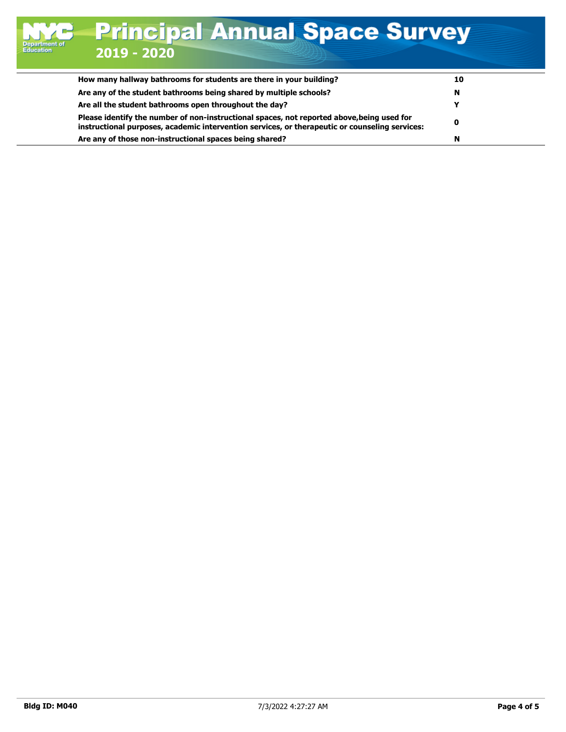| How many hallway bathrooms for students are there in your building?                                                                                                                          | 10 |
|----------------------------------------------------------------------------------------------------------------------------------------------------------------------------------------------|----|
| Are any of the student bathrooms being shared by multiple schools?                                                                                                                           | N  |
| Are all the student bathrooms open throughout the day?                                                                                                                                       |    |
| Please identify the number of non-instructional spaces, not reported above, being used for<br>instructional purposes, academic intervention services, or therapeutic or counseling services: |    |
| Are any of those non-instructional spaces being shared?                                                                                                                                      |    |